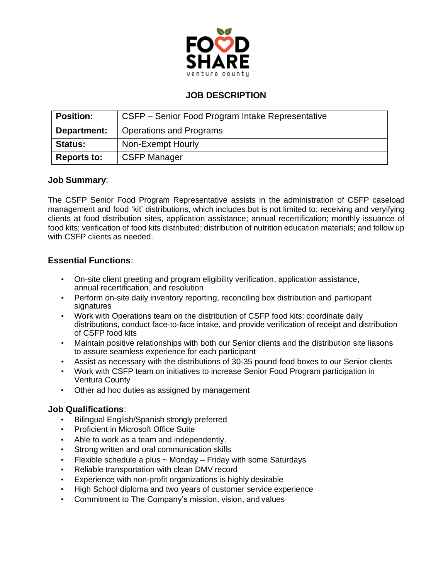

# **JOB DESCRIPTION**

| <b>Position:</b>   | CSFP – Senior Food Program Intake Representative |
|--------------------|--------------------------------------------------|
| Department:        | <b>Operations and Programs</b>                   |
| <b>Status:</b>     | Non-Exempt Hourly                                |
| <b>Reports to:</b> | <b>CSFP Manager</b>                              |

### **Job Summary**:

The CSFP Senior Food Program Representative assists in the administration of CSFP caseload management and food 'kit' distributions, which includes but is not limited to: receiving and veryifying clients at food distribution sites, application assistance; annual recertification; monthly issuance of food kits; verification of food kits distributed; distribution of nutrition education materials; and follow up with CSFP clients as needed.

## **Essential Functions**:

- On-site client greeting and program eligibility verification, application assistance, annual recertification, and resolution
- Perform on-site daily inventory reporting, reconciling box distribution and participant signatures
- Work with Operations team on the distribution of CSFP food kits: coordinate daily distributions, conduct face-to-face intake, and provide verification of receipt and distribution of CSFP food kits
- Maintain positive relationships with both our Senior clients and the distribution site liasons to assure seamless experience for each participant
- Assist as necessary with the distributions of 30-35 pound food boxes to our Senior clients
- Work with CSFP team on initiatives to increase Senior Food Program participation in Ventura County
- Other ad hoc duties as assigned by management

## **Job Qualifications**:

- Bilingual English/Spanish strongly preferred
- Proficient in Microsoft Office Suite
- Able to work as a team and independently.
- Strong written and oral communication skills
- Flexible schedule a plus  $\sim$  Monday Friday with some Saturdays
- Reliable transportation with clean DMV record
- Experience with non-profit organizations is highly desirable
- High School diploma and two years of customer service experience
- Commitment to The Company's mission, vision, and values